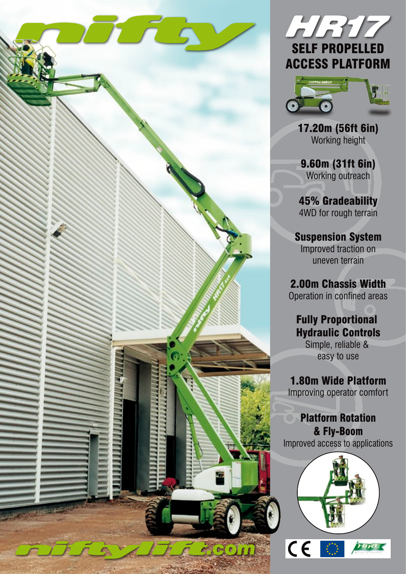





17.20m (56ft 6in) Working height

9.60m (31ft 6in) Working outreach

45% Gradeability 4WD for rough terrain

Suspension System Improved traction on uneven terrain

2.00m Chassis Width Operation in confined areas

Fully Proportional Hydraulic Controls Simple, reliable &

easy to use

1.80m Wide Platform Improving operator comfort

Platform Rotation & Fly-Boom Improved access to applications